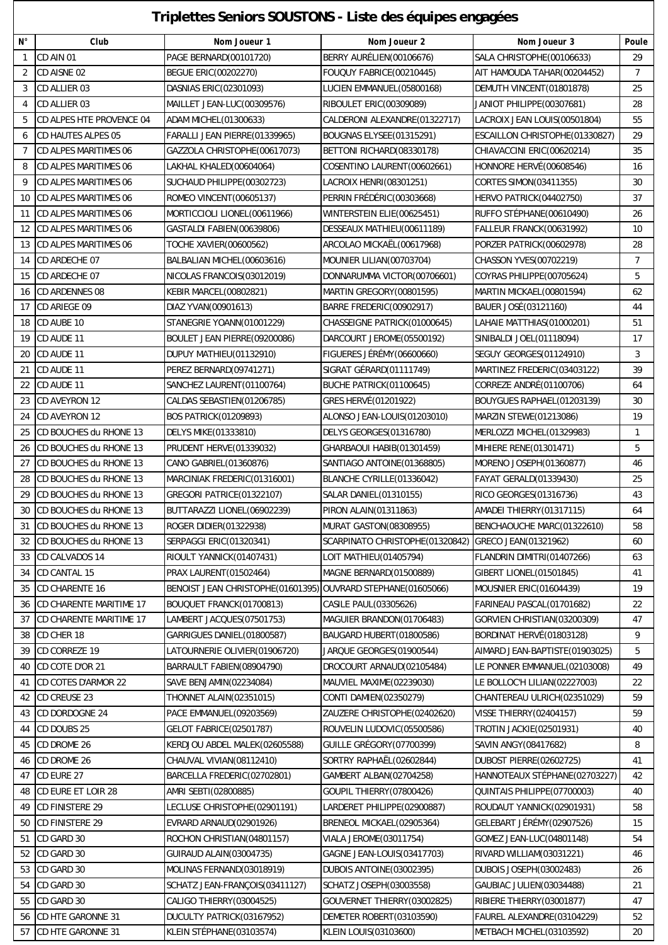## **Triplettes Seniors SOUSTONS - Liste des équipes engagées**

 $\overline{\phantom{a}}$ 

| $N^{\circ}$    | Club                     | Nom Joueur 1                                                 | Nom Joueur 2                     | Nom Joueur 3                    | Poule          |
|----------------|--------------------------|--------------------------------------------------------------|----------------------------------|---------------------------------|----------------|
| $\mathbf{1}$   | CD AIN 01                | PAGE BERNARD(00101720)                                       | BERRY AURÉLIEN (00106676)        | SALA CHRISTOPHE(00106633)       | 29             |
| 2              | CD AISNE 02              | <b>BEGUE ERIC(00202270)</b>                                  | FOUQUY FABRICE(00210445)         | AIT HAMOUDA TAHAR(00204452)     | $\overline{7}$ |
| 3              | CD ALLIER 03             | DASNIAS ERIC(02301093)                                       | LUCIEN EMMANUEL(05800168)        | DEMUTH VINCENT (01801878)       | 25             |
| 4              | CD ALLIER 03             | MAILLET JEAN-LUC(00309576)                                   | RIBOULET ERIC(00309089)          | JANIOT PHILIPPE(00307681)       | 28             |
| 5              | CD ALPES HTE PROVENCE 04 | ADAM MICHEL (01300633)                                       | CALDERONI ALEXANDRE (01322717)   | LACROIX JEAN LOUIS(00501804)    | 55             |
| 6              | CD HAUTES ALPES 05       | FARALLI JEAN PIERRE(01339965)                                | BOUGNAS ELYSEE(01315291)         | ESCAILLON CHRISTOPHE (01330827) | 29             |
| $\overline{7}$ | CD ALPES MARITIMES 06    | GAZZOLA CHRISTOPHE(00617073)                                 | BETTONI RICHARD(08330178)        | CHIAVACCINI ERIC(00620214)      | 35             |
| 8              | CD ALPES MARITIMES 06    | LAKHAL KHALED(00604064)                                      | COSENTINO LAURENT(00602661)      | HONNORE HERVÉ (00608546)        | 16             |
| 9              | CD ALPES MARITIMES 06    | SUCHAUD PHILIPPE (00302723)                                  | LACROIX HENRI(08301251)          | CORTES SIMON(03411355)          | 30             |
| 10             | CD ALPES MARITIMES 06    | ROMEO VINCENT (00605137)                                     | PERRIN FRÉDÉRIC (00303668)       | HERVO PATRICK(04402750)         | 37             |
| 11             | CD ALPES MARITIMES 06    | MORTICCIOLI LIONEL(00611966)                                 | WINTERSTEIN ELIE(00625451)       | RUFFO STEPHANE (00610490)       | 26             |
| 12             | CD ALPES MARITIMES 06    | GASTALDI FABIEN(00639806)                                    | DESSEAUX MATHIEU(00611189)       | FALLEUR FRANCK(00631992)        | 10             |
| 13             | CD ALPES MARITIMES 06    | TOCHE XAVIER(00600562)                                       | ARCOLAO MICKAËL(00617968)        | PORZER PATRICK(00602978)        | 28             |
| 14             | CD ARDECHE 07            | BALBALIAN MICHEL(00603616)                                   | MOUNIER LILIAN(00703704)         | CHASSON YVES(00702219)          | $\overline{7}$ |
| 15             | CD ARDECHE 07            | NICOLAS FRANCOIS(03012019)                                   | DONNARUMMA VICTOR(00706601)      | COYRAS PHILIPPE(00705624)       | 5              |
| 16             | CD ARDENNES 08           | <b>KEBIR MARCEL(00802821)</b>                                | MARTIN GREGORY (00801595)        | MARTIN MICKAEL(00801594)        | 62             |
| 17             | CD ARIEGE 09             | DIAZ YVAN(00901613)                                          | BARRE FREDERIC(00902917)         | BAUER JOSÉ (03121160)           | 44             |
| 18             | CD AUBE 10               | STANEGRIE YOANN(01001229)                                    | CHASSEIGNE PATRICK(01000645)     | LAHAIE MATTHIAS(01000201)       | 51             |
| 19             | CD AUDE 11               | BOULET JEAN PIERRE(09200086)                                 | DARCOURT JEROME(05500192)        | SINIBALDI JOEL(01118094)        | 17             |
| 20             | CD AUDE 11               | DUPUY MATHIEU(01132910)                                      | FIGUERES JÉRÉMY (06600660)       | SEGUY GEORGES(01124910)         | 3              |
| 21             | CD AUDE 11               | PEREZ BERNARD(09741271)                                      | SIGRAT GÉRARD(01111749)          | MARTINEZ FREDERIC(03403122)     | 39             |
| 22             | CD AUDE 11               | SANCHEZ LAURENT(01100764)                                    | BUCHE PATRICK(01100645)          | CORREZE ANDRÉ(01100706)         | 64             |
| 23             | CD AVEYRON 12            | CALDAS SEBASTIEN(01206785)                                   | GRES HERVÉ (01201922)            | BOUYGUES RAPHAEL(01203139)      | 30             |
| 24             | CD AVEYRON 12            | <b>BOS PATRICK(01209893)</b>                                 | ALONSO JEAN-LOUIS(01203010)      | MARZIN STEWE(01213086)          | 19             |
| 25             | CD BOUCHES du RHONE 13   | DELYS MIKE(01333810)                                         | DELYS GEORGES(01316780)          | MERLOZZI MICHEL(01329983)       | $\mathbf{1}$   |
| 26             | CD BOUCHES du RHONE 13   | PRUDENT HERVE(01339032)                                      | GHARBAOUI HABIB(01301459)        | MIHIERE RENE(01301471)          | 5              |
| 27             | CD BOUCHES du RHONE 13   | CANO GABRIEL(01360876)                                       | SANTIAGO ANTOINE (01368805)      | MORENO JOSEPH(01360877)         | 46             |
| 28             | CD BOUCHES du RHONE 13   | MARCINIAK FREDERIC(01316001)                                 | BLANCHE CYRILLE (01336042)       | FAYAT GERALD(01339430)          | 25             |
| 29             | CD BOUCHES du RHONE 13   | GREGORI PATRICE(01322107)                                    | SALAR DANIEL(01310155)           | RICO GEORGES(01316736)          | 43             |
| 30             | CD BOUCHES du RHONE 13   | BUTTARAZZI LIONEL(06902239)                                  | PIRON ALAIN(01311863)            | AMADEI THIERRY(01317115)        | 64             |
| 31             | CD BOUCHES du RHONE 13   | ROGER DIDIER(01322938)                                       | MURAT GASTON(08308955)           | BENCHAOUCHE MARC(01322610)      | 58             |
| 32             | CD BOUCHES du RHONE 13   | SERPAGGI ERIC(01320341)                                      | SCARPINATO CHRISTOPHE (01320842) | GRECO JEAN(01321962)            | 60             |
| 33             | CD CALVADOS 14           | RIOULT YANNICK(01407431)                                     | LOIT MATHIEU(01405794)           | FLANDRIN DIMITRI(01407266)      | 63             |
| 34             | CD CANTAL 15             | <b>PRAX LAURENT (01502464)</b>                               | MAGNE BERNARD(01500889)          | GIBERT LIONEL(01501845)         | 41             |
|                |                          |                                                              |                                  |                                 |                |
| 35             | CD CHARENTE 16           | BENOIST JEAN CHRISTOPHE(01601395) OUVRARD STEPHANE(01605066) |                                  | MOUSNIER ERIC(01604439)         | 19             |
| 36             | CD CHARENTE MARITIME 17  | BOUQUET FRANCK(01700813)                                     | CASILE PAUL(03305626)            | FARINEAU PASCAL(01701682)       | 22             |
| 37             | CD CHARENTE MARITIME 17  | LAMBERT JACQUES(07501753)                                    | MAGUIER BRANDON(01706483)        | GORVIEN CHRISTIAN(03200309)     | 47             |
| 38             | CD CHER 18               | GARRIGUES DANIEL (01800587)                                  | BAUGARD HUBERT (01800586)        | BORDINAT HERVÉ (01803128)       | 9              |
| 39             | CD CORREZE 19            | LATOURNERIE OLIVIER(01906720)                                | JARQUE GEORGES(01900544)         | AIMARD JEAN-BAPTISTE(01903025)  | 5              |
| 40             | CD COTE D'OR 21          | BARRAULT FABIEN(08904790)                                    | DROCOURT ARNAUD(02105484)        | LE PONNER EMMANUEL(02103008)    | 49             |
| 41             | CD COTES D'ARMOR 22      | SAVE BENJAMIN(02234084)                                      | MAUVIEL MAXIME(02239030)         | LE BOLLOC'H LILIAN(02227003)    | 22             |
| 42             | CD CREUSE 23             | <b>THONNET ALAIN(02351015)</b>                               | CONTI DAMIEN(02350279)           | CHANTEREAU ULRICH(02351029)     | 59             |
| 43             | CD DORDOGNE 24           | PACE EMMANUEL(09203569)                                      | ZAUZERE CHRISTOPHE(02402620)     | <b>VISSE THIERRY (02404157)</b> | 59             |
| 44             | CD DOUBS 25              | <b>GELOT FABRICE(02501787)</b>                               | ROUVELIN LUDOVIC(05500586)       | <b>TROTIN JACKIE (02501931)</b> | 40             |
| 45             | CD DROME 26              | KERDJOU ABDEL MALEK(02605588)                                | GUILLE GRÉGORY (07700399)        | SAVIN ANGY (08417682)           | 8              |
| 46             | CD DROME 26              | CHAUVAL VIVIAN(08112410)                                     | SORTRY RAPHAËL(02602844)         | DUBOST PIERRE(02602725)         | 41             |
| 47             | CD EURE 27               | BARCELLA FREDERIC(02702801)                                  | GAMBERT ALBAN(02704258)          | HANNOTEAUX STÉPHANE(02703227)   | 42             |
| 48             | CD EURE ET LOIR 28       | AMRI SEBTI(02800885)                                         | GOUPIL THIERRY(07800426)         | QUINTAIS PHILIPPE(07700003)     | 40             |
| 49             | CD FINISTERE 29          | LECLUSE CHRISTOPHE(02901191)                                 | LARDERET PHILIPPE(02900887)      | ROUDAUT YANNICK(02901931)       | 58             |
| 50             | CD FINISTERE 29          | EVRARD ARNAUD(02901926)                                      | BRENEOL MICKAEL(02905364)        | GELEBART JÉRÉMY (02907526)      | 15             |
| 51             | CD GARD 30               | ROCHON CHRISTIAN (04801157)                                  | VIALA JEROME(03011754)           | GOMEZ JEAN-LUC(04801148)        | 54             |
| 52             | CD GARD 30               | <b>GUIRAUD ALAIN(03004735)</b>                               | GAGNE JEAN-LOUIS(03417703)       | RIVARD WILLIAM(03031221)        | 46             |
| 53             | CD GARD 30               | MOLINAS FERNAND(03018919)                                    | DUBOIS ANTOINE(03002395)         | DUBOIS JOSEPH(03002483)         | 26             |
| 54             | CD GARD 30               | SCHATZ JEAN-FRANÇOIS(03411127)                               | SCHATZ JOSEPH(03003558)          | GAUBIAC JULIEN(03034488)        | 21             |
| 55             | CD GARD 30               | CALIGO THIERRY(03004525)                                     | GOUVERNET THIERRY (03002825)     | RIBIERE THIERRY(03001877)       | 47             |
| 56             | CD HTE GARONNE 31        | DUCULTY PATRICK(03167952)                                    | DEMETER ROBERT(03103590)         | FAUREL ALEXANDRE(03104229)      | 52             |
| 57             | CD HTE GARONNE 31        | KLEIN STÉPHANE(03103574)                                     | KLEIN LOUIS(03103600)            | METBACH MICHEL(03103592)        | 20             |
|                |                          |                                                              |                                  |                                 |                |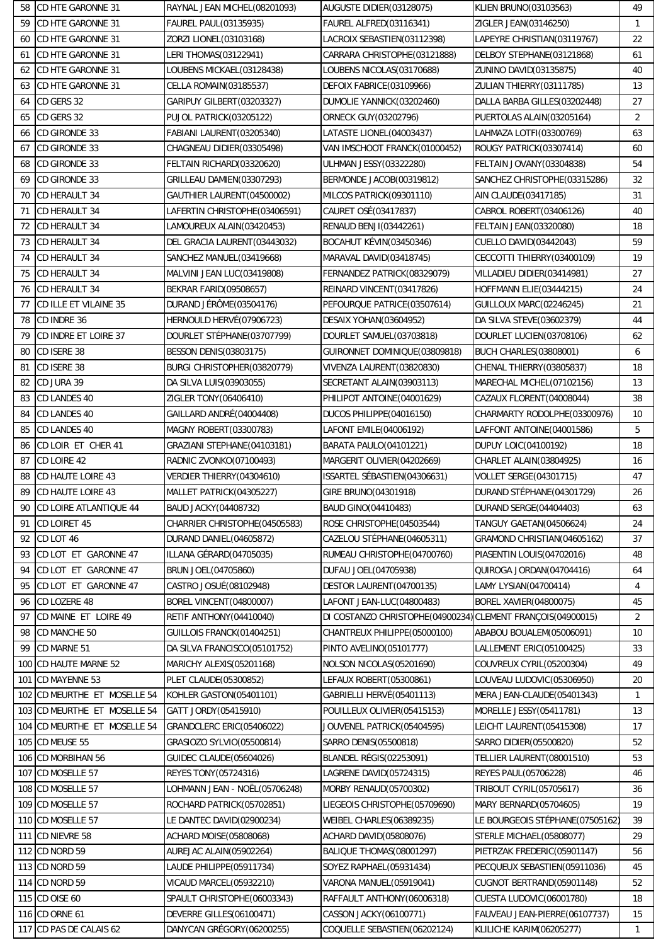| 58  | CD HTE GARONNE 31        | RAYNAL JEAN MICHEL(08201093)     | AUGUSTE DIDIER(03128075)                         | <b>KLIEN BRUNO(03103563)</b>    | 49              |
|-----|--------------------------|----------------------------------|--------------------------------------------------|---------------------------------|-----------------|
| 59  | CD HTE GARONNE 31        | <b>FAUREL PAUL(03135935)</b>     | FAUREL ALFRED(03116341)                          | ZIGLER JEAN(03146250)           | $\mathbf{1}$    |
| 60  | CD HTE GARONNE 31        | ZORZI LIONEL(03103168)           | LACROIX SEBASTIEN(03112398)                      | LAPEYRE CHRISTIAN(03119767)     | 22              |
| 61  | CD HTE GARONNE 31        | LERI THOMAS(03122941)            | CARRARA CHRISTOPHE (03121888)                    | DELBOY STEPHANE(03121868)       | 61              |
| 62  | <b>CD HTE GARONNE 31</b> | LOUBENS MICKAEL(03128438)        | LOUBENS NICOLAS(03170688)                        | ZUNINO DAVID(03135875)          | 40              |
| 63  | CD HTE GARONNE 31        | CELLA ROMAIN(03185537)           | DEFOIX FABRICE(03109966)                         | ZULIAN THIERRY(03111785)        | 13              |
| 64  | CD GERS 32               | GARIPUY GILBERT (03203327)       | DUMOLIE YANNICK (03202460)                       | DALLA BARBA GILLES(03202448)    | 27              |
| 65  | CD GERS 32               | PUJOL PATRICK(03205122)          | <b>ORNECK GUY (03202796)</b>                     | PUERTOLAS ALAIN(03205164)       | $\overline{2}$  |
| 66  | CD GIRONDE 33            | FABIANI LAURENT (03205340)       | LATASTE LIONEL(04003437)                         | LAHMAZA LOTFI(03300769)         | 63              |
| 67  | CD GIRONDE 33            | CHAGNEAU DIDIER(03305498)        | VAN IMSCHOOT FRANCK(01000452)                    | ROUGY PATRICK(03307414)         | 60              |
| 68  | CD GIRONDE 33            | FELTAIN RICHARD(03320620)        | <b>ULHMAN JESSY(03322280)</b>                    | FELTAIN JOVANY (03304838)       | 54              |
| 69  | CD GIRONDE 33            | GRILLEAU DAMIEN(03307293)        | BERMONDE JACOB(00319812)                         | SANCHEZ CHRISTOPHE(03315286)    | 32              |
| 70  | CD HERAULT 34            | GAUTHIER LAURENT (04500002)      | MILCOS PATRICK(09301110)                         | AIN CLAUDE(03417185)            | 31              |
| 71  | CD HERAULT 34            | LAFERTIN CHRISTOPHE(03406591)    | CAURET OSÉ(03417837)                             | CABROL ROBERT(03406126)         | 40              |
| 72  | CD HERAULT 34            | LAMOUREUX ALAIN(03420453)        | <b>RENAUD BENJI(03442261)</b>                    | FELTAIN JEAN(03320080)          | 18              |
| 73  | CD HERAULT 34            | DEL GRACIA LAURENT (03443032)    | BOCAHUT KÉVIN(03450346)                          | CUELLO DAVID(03442043)          | 59              |
| 74  | CD HERAULT 34            | SANCHEZ MANUEL(03419668)         | MARAVAL DAVID(03418745)                          | CECCOTTI THIERRY(03400109)      | 19              |
| 75  | CD HERAULT 34            | MALVINI JEAN LUC(03419808)       | FERNANDEZ PATRICK(08329079)                      | VILLADIEU DIDIER(03414981)      | 27              |
| 76  | CD HERAULT 34            | <b>BEKRAR FARID(09508657)</b>    | REINARD VINCENT (03417826)                       | HOFFMANN ELIE(03444215)         | 24              |
| 77  | CD ILLE ET VILAINE 35    | DURAND JÉRÔME (03504176)         | PEFOURQUE PATRICE(03507614)                      | <b>GUILLOUX MARC(02246245)</b>  | 21              |
| 78  | CD INDRE 36              | HERNOULD HERVÉ(07906723)         | <b>DESAIX YOHAN(03604952)</b>                    | DA SILVA STEVE(03602379)        | 44              |
| 79  | CD INDRE ET LOIRE 37     | DOURLET STÉPHANE(03707799)       | DOURLET SAMUEL(03703818)                         | DOURLET LUCIEN(03708106)        | 62              |
| 80  | CD ISERE 38              | BESSON DENIS(03803175)           | GUIRONNET DOMINIQUE(03809818)                    | BUCH CHARLES(03808001)          | 6               |
| 81  | CD ISERE 38              | BURGI CHRISTOPHER(03820779)      | VIVENZA LAURENT (03820830)                       | CHENAL THIERRY(03805837)        | 18              |
| 82  | CD JURA 39               | DA SILVA LUIS(03903055)          | SECRETANT ALAIN(03903113)                        | MARECHAL MICHEL(07102156)       | 13              |
| 83  | CD LANDES 40             | ZIGLER TONY (06406410)           | PHILIPOT ANTOINE (04001629)                      | CAZAUX FLORENT(04008044)        | 38              |
| 84  | <b>CD LANDES 40</b>      | GAILLARD ANDRÉ(04004408)         |                                                  | CHARMARTY RODOLPHE(03300976)    | 10 <sup>°</sup> |
| 85  |                          |                                  | DUCOS PHILIPPE (04016150)                        |                                 | 5               |
|     | <b>CD LANDES 40</b>      | MAGNY ROBERT(03300783)           | LAFONT EMILE(04006192)<br>BARATA PAULO(04101221) | LAFFONT ANTOINE(04001586)       |                 |
| 86  | CD LOIR ET CHER 41       | GRAZIANI STEPHANE(04103181)      |                                                  | DUPUY LOIC(04100192)            | 18              |
| 87  | CD LOIRE 42              | RADNIC ZVONKO(07100493)          | MARGERIT OLIVIER(04202669)                       | CHARLET ALAIN(03804925)         | 16              |
| 88  | <b>CD HAUTE LOIRE 43</b> | VERDIER THIERRY(04304610)        | ISSARTEL SÉBASTIEN(04306631)                     | <b>VOLLET SERGE(04301715)</b>   | 47              |
| 89  | <b>CD HAUTE LOIRE 43</b> | MALLET PATRICK(04305227)         | GIRE BRUNO(04301918)                             | DURAND STÉPHANE(04301729)       | 26              |
| 90  | CD LOIRE ATLANTIQUE 44   | BAUD JACKY(04408732)             | BAUD GINO (04410483)                             | DURAND SERGE(04404403)          | 63              |
| 91  | CD LOIRET 45             | CHARRIER CHRISTOPHE(04505583)    | ROSE CHRISTOPHE(04503544)                        | TANGUY GAETAN(04506624)         | 24              |
| 92  | CD LOT 46                | DURAND DANIEL (04605872)         | CAZELOU STÉPHANE(04605311)                       | GRAMOND CHRISTIAN (04605162)    | 37              |
| 93  | CD LOT ET GARONNE 47     | ILLANA GÉRARD (04705035)         | RUMEAU CHRISTOPHE(04700760)                      | PIASENTIN LOUIS(04702016)       | 48              |
| 94  | CD LOT ET GARONNE 47     | BRUN JOEL (04705860)             | DUFAU JOEL (04705938)                            | QUIROGA JORDAN(04704416)        | 64              |
| 95  | CD LOT ET GARONNE 47     | CASTRO JOSUÉ (08102948)          | DESTOR LAURENT (04700135)                        | LAMY LYSIAN(04700414)           | 4               |
| 96  | CD LOZERE 48             | <b>BOREL VINCENT(04800007)</b>   | LAFONT JEAN-LUC(04800483)                        | BOREL XAVIER(04800075)          | 45              |
| 97  | CD MAINE ET LOIRE 49     | RETIF ANTHONY(04410040)          | DI COSTANZO CHRISTOPHE (04900234)                | CLEMENT FRANÇOIS(04900015)      | $\overline{2}$  |
| 98  | CD MANCHE 50             | GUILLOIS FRANCK(01404251)        | CHANTREUX PHILIPPE(05000100)                     | ABABOU BOUALEM(05006091)        | 10              |
| 99  | CD MARNE 51              | DA SILVA FRANCISCO(05101752)     | PINTO AVELINO(05101777)                          | LALLEMENT ERIC(05100425)        | 33              |
| 100 | <b>CD HAUTE MARNE 52</b> | MARICHY ALEXIS(05201168)         | NOLSON NICOLAS (05201690)                        | COUVREUX CYRIL(05200304)        | 49              |
| 101 | CD MAYENNE 53            | PLET CLAUDE(05300852)            | LEFAUX ROBERT (05300861)                         | LOUVEAU LUDOVIC(05306950)       | 20              |
| 102 | CD MEURTHE ET MOSELLE 54 | KOHLER GASTON(05401101)          | GABRIELLI HERVÉ (05401113)                       | MERA JEAN-CLAUDE(05401343)      | $\mathbf{1}$    |
| 103 | CD MEURTHE ET MOSELLE 54 | GATT JORDY (05415910)            | POUILLEUX OLIVIER(05415153)                      | MORELLE JESSY (05411781)        | 13              |
| 104 | CD MEURTHE ET MOSELLE 54 | <b>GRANDCLERC ERIC(05406022)</b> | JOUVENEL PATRICK(05404595)                       | LEICHT LAURENT(05415308)        | 17              |
| 105 | CD MEUSE 55              | GRASIOZO SYLVIO(05500814)        | SARRO DENIS (05500818)                           | SARRO DIDIER(05500820)          | 52              |
| 106 | <b>CD MORBIHAN 56</b>    | <b>GUIDEC CLAUDE(05604026)</b>   | BLANDEL RÉGIS(02253091)                          | TELLIER LAURENT (08001510)      | 53              |
| 107 | CD MOSELLE 57            | REYES TONY (05724316)            | LAGRENE DAVID(05724315)                          | <b>REYES PAUL(05706228)</b>     | 46              |
| 108 | CD MOSELLE 57            | LOHMANN JEAN - NOËL(05706248)    | MORBY RENAUD(05700302)                           | TRIBOUT CYRIL(05705617)         | 36              |
| 109 | CD MOSELLE 57            | ROCHARD PATRICK(05702851)        | LIEGEOIS CHRISTOPHE(05709690)                    | MARY BERNARD(05704605)          | 19              |
| 110 | CD MOSELLE 57            | LE DANTEC DAVID(02900234)        | WEIBEL CHARLES(06389235)                         | LE BOURGEOIS STÉPHANE(07505162) | 39              |
| 111 | CD NIEVRE 58             | <b>ACHARD MOISE(05808068)</b>    | <b>ACHARD DAVID(05808076)</b>                    | STERLE MICHAEL(05808077)        | 29              |
| 112 | CD NORD 59               | AUREJAC ALAIN(05902264)          | BALIQUE THOMAS (08001297)                        | PIETRZAK FREDERIC(05901147)     | 56              |
| 113 | CD NORD 59               | LAUDE PHILIPPE(05911734)         | SOYEZ RAPHAEL(05931434)                          | PECQUEUX SEBASTIEN(05911036)    | 45              |
| 114 | CD NORD 59               | VICAUD MARCEL(05932210)          | VARONA MANUEL(05919041)                          | CUGNOT BERTRAND(05901148)       | 52              |
| 115 | CD OISE 60               | SPAULT CHRISTOPHE(06003343)      | RAFFAULT ANTHONY(06006318)                       | CUESTA LUDOVIC(06001780)        | 18              |
| 116 | CD ORNE 61               | DEVERRE GILLES(06100471)         | CASSON JACKY(06100771)                           | FAUVEAU JEAN-PIERRE(06107737)   | 15              |
| 117 | CD PAS DE CALAIS 62      | DANYCAN GRÉGORY (06200255)       | COQUELLE SEBASTIEN(06202124)                     | KLILICHE KARIM(06205277)        | $\mathbf{1}$    |
|     |                          |                                  |                                                  |                                 |                 |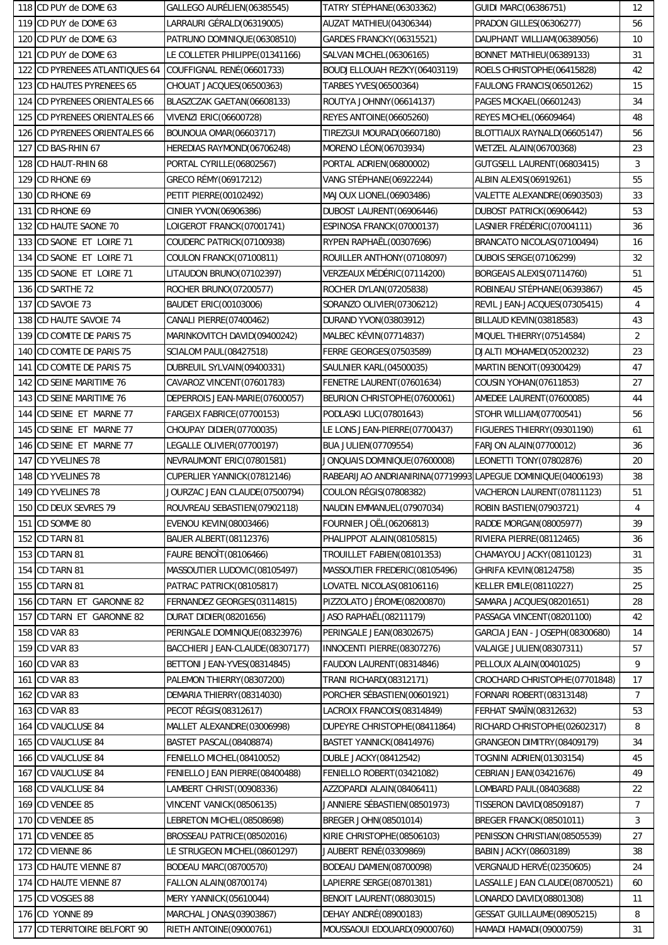|     | 118 CD PUY de DOME 63      | GALLEGO AURÉLIEN (06385545)      | TATRY STEPHANE(06303362)                                     | <b>GUIDI MARC(06386751)</b>     | 12             |
|-----|----------------------------|----------------------------------|--------------------------------------------------------------|---------------------------------|----------------|
|     | 119 CD PUY de DOME 63      | LARRAURI GÉRALD(06319005)        | AUZAT MATHIEU(04306344)                                      | <b>PRADON GILLES (06306277)</b> | 56             |
| 120 | CD PUY de DOME 63          | PATRUNO DOMINIQUE(06308510)      | GARDES FRANCKY(06315521)                                     | DAUPHANT WILLIAM(06389056)      | 10             |
| 121 | CD PUY de DOME 63          | LE COLLETER PHILIPPE(01341166)   | SALVAN MICHEL(06306165)                                      | BONNET MATHIEU(06389133)        | 31             |
| 122 | CD PYRENEES ATLANTIQUES 64 | COUFFIGNAL RENÉ(06601733)        | BOUDJELLOUAH REZKY(06403119)                                 | ROELS CHRISTOPHE(06415828)      | 42             |
| 123 | CD HAUTES PYRENEES 65      | CHOUAT JACQUES(06500363)         | TARBES YVES(06500364)                                        | FAULONG FRANCIS(06501262)       | 15             |
| 124 | CD PYRENEES ORIENTALES 66  | BLASZCZAK GAETAN(06608133)       | ROUTYA JOHNNY (06614137)                                     | PAGES MICKAEL(06601243)         | 34             |
| 125 | CD PYRENEES ORIENTALES 66  | <b>VIVENZI ERIC(06600728)</b>    | <b>REYES ANTOINE(06605260)</b>                               | <b>REYES MICHEL(06609464)</b>   | 48             |
| 126 | CD PYRENEES ORIENTALES 66  | <b>BOUNOUA OMAR(06603717)</b>    | TIREZGUI MOURAD(06607180)                                    | BLOTTIAUX RAYNALD(06605147)     | 56             |
| 127 | CD BAS-RHIN 67             | HEREDIAS RAYMOND(06706248)       | MORENO LÉON(06703934)                                        | <b>WETZEL ALAIN(06700368)</b>   | 23             |
| 128 | CD HAUT-RHIN 68            | PORTAL CYRILLE(06802567)         | PORTAL ADRIEN(06800002)                                      | GUTGSELL LAURENT(06803415)      | 3              |
| 129 | CD RHONE 69                | GRECO RÉMY (06917212)            | VANG STÉPHANE (06922244)                                     | ALBIN ALEXIS(06919261)          | 55             |
| 130 | <b>CD RHONE 69</b>         | PETIT PIERRE(00102492)           | MAJOUX LIONEL(06903486)                                      | VALETTE ALEXANDRE(06903503)     | 33             |
| 131 | <b>CD RHONE 69</b>         | CINIER YVON(06906386)            | DUBOST LAURENT (06906446)                                    | DUBOST PATRICK(06906442)        | 53             |
| 132 | CD HAUTE SAONE 70          | LOIGEROT FRANCK(07001741)        | ESPINOSA FRANCK(07000137)                                    | LASNIER FRÉDÉRIC(07004111)      | 36             |
| 133 | CD SAONE ET LOIRE 71       | COUDERC PATRICK(07100938)        | RYPEN RAPHAËL(00307696)                                      | BRANCATO NICOLAS(07100494)      | 16             |
| 134 | CD SAONE ET LOIRE 71       | COULON FRANCK(07100811)          | ROUILLER ANTHONY (07108097)                                  | <b>DUBOIS SERGE(07106299)</b>   | 32             |
| 135 | CD SAONE ET LOIRE 71       | LITAUDON BRUNO(07102397)         | VERZEAUX MÉDÉRIC(07114200)                                   | BORGEAIS ALEXIS(07114760)       | 51             |
| 136 | CD SARTHE 72               | ROCHER BRUNO(07200577)           | ROCHER DYLAN(07205838)                                       | ROBINEAU STÉPHANE(06393867)     | 45             |
| 137 | CD SAVOIE 73               | <b>BAUDET ERIC(00103006)</b>     | SORANZO OLIVIER(07306212)                                    | REVIL JEAN-JACQUES(07305415)    | 4              |
| 138 | <b>CD HAUTE SAVOIE 74</b>  | CANALI PIERRE(07400462)          | DURAND YVON(03803912)                                        | BILLAUD KEVIN(03818583)         | 43             |
| 139 | CD COMITE DE PARIS 75      | MARINKOVITCH DAVID(09400242)     | MALBEC KÉVIN(07714837)                                       | MIQUEL THIERRY (07514584)       | $\overline{2}$ |
| 140 | CD COMITE DE PARIS 75      | <b>SCIALOM PAUL(08427518)</b>    | FERRE GEORGES(07503589)                                      | DJALTI MOHAMED(05200232)        | 23             |
| 141 | CD COMITE DE PARIS 75      | DUBREUIL SYLVAIN(09400331)       | SAULNIER KARL(04500035)                                      | MARTIN BENOIT (09300429)        | 47             |
| 142 | CD SEINE MARITIME 76       | CAVAROZ VINCENT (07601783)       | FENETRE LAURENT(07601634)                                    | <b>COUSIN YOHAN(07611853)</b>   | 27             |
| 143 | CD SEINE MARITIME 76       | DEPERROIS JEAN-MARIE(07600057)   | BEURION CHRISTOPHE(07600061)                                 | AMEDEE LAURENT(07600085)        | 44             |
| 144 | CD SEINE ET MARNE 77       | FARGEIX FABRICE(07700153)        | PODLASKI LUC(07801643)                                       | STOHR WILLIAM(07700541)         | 56             |
| 145 | CD SEINE ET MARNE 77       | CHOUPAY DIDIER(07700035)         | LE LONS JEAN-PIERRE(07700437)                                | FIGUERES THIERRY (09301190)     | 61             |
| 146 | CD SEINE ET MARNE 77       | LEGALLE OLIVIER(07700197)        | <b>BUA JULIEN(07709554)</b>                                  | FARJON ALAIN(07700012)          | 36             |
| 147 | CD YVELINES 78             | NEVRAUMONT ERIC(07801581)        | JONQUAIS DOMINIQUE (07600008)                                | LEONETTI TONY (07802876)        | 20             |
|     |                            |                                  | RABEARIJAO ANDRIANIRINA(07719993]LAPEGUE DOMINIQUE(04006193) |                                 | 38             |
| 148 | <b>CD YVELINES 78</b>      | CUPERLIER YANNICK (07812146)     |                                                              |                                 |                |
| 149 | CD YVELINES 78             | JOURZAC JEAN CLAUDE(07500794)    | <b>COULON RÉGIS (07808382)</b>                               | VACHERON LAURENT (07811123)     | 51             |
|     | 150 CD DEUX SEVRES 79      | ROUVREAU SEBASTIEN(07902118)     | NAUDIN EMMANUEL(07907034)                                    | ROBIN BASTIEN(07903721)         | $\overline{4}$ |
| 151 | CD SOMME 80                | <b>EVENOU KEVIN(08003466)</b>    | <b>FOURNIER JOËL(06206813)</b>                               | RADDE MORGAN(08005977)          | 39             |
| 152 | CD TARN 81                 | <b>BAUER ALBERT (08112376)</b>   | PHALIPPOT ALAIN(08105815)                                    | RIVIERA PIERRE(08112465)        | 36             |
| 153 | CD TARN 81                 | <b>FAURE BENOÎT(08106466)</b>    | TROUILLET FABIEN(08101353)                                   | CHAMAYOU JACKY(08110123)        | 31             |
| 154 | CD TARN 81                 | MASSOUTIER LUDOVIC (08105497)    | MASSOUTIER FREDERIC(08105496)                                | GHRIFA KEVIN(08124758)          | 35             |
| 155 | CD TARN 81                 | PATRAC PATRICK(08105817)         | LOVATEL NICOLAS(08106116)                                    | <b>KELLER EMILE(08110227)</b>   | 25             |
| 156 | CD TARN ET GARONNE 82      | FERNANDEZ GEORGES(03114815)      | PIZZOLATO JÉROME (08200870)                                  | SAMARA JACQUES(08201651)        | 28             |
| 157 | CD TARN ET GARONNE 82      | DURAT DIDIER(08201656)           | JASO RAPHAËL(08211179)                                       | PASSAGA VINCENT (08201100)      | 42             |
| 158 | CD VAR 83                  | PERINGALE DOMINIQUE (08323976)   | PERINGALE JEAN(08302675)                                     | GARCIA JEAN - JOSEPH(08300680)  | 14             |
| 159 | CD VAR 83                  | BACCHIERI JEAN-CLAUDE (08307177) | INNOCENTI PIERRE(08307276)                                   | <b>VALAIGE JULIEN(08307311)</b> | 57             |
| 160 | CD VAR 83                  | BETTONI JEAN-YVES(08314845)      | FAUDON LAURENT(08314846)                                     | PELLOUX ALAIN(00401025)         | 9              |
| 161 | CD VAR 83                  | PALEMON THIERRY (08307200)       | <b>TRANI RICHARD(08312171)</b>                               | CROCHARD CHRISTOPHE (07701848)  | 17             |
| 162 | CD VAR 83                  | DEMARIA THIERRY (08314030)       | PORCHER SÉBASTIEN (00601921)                                 | FORNARI ROBERT(08313148)        | $\overline{7}$ |
| 163 | CD VAR 83                  | PECOT RÉGIS(08312617)            | LACROIX FRANCOIS(08314849)                                   | <b>FERHAT SMAIN(08312632)</b>   | 53             |
| 164 | CD VAUCLUSE 84             | MALLET ALEXANDRE(03006998)       | DUPEYRE CHRISTOPHE(08411864)                                 | RICHARD CHRISTOPHE(02602317)    | 8              |
| 165 | <b>CD VAUCLUSE 84</b>      | BASTET PASCAL(08408874)          | BASTET YANNICK(08414976)                                     | GRANGEON DIMITRY (08409179)     | 34             |
| 166 | <b>CD VAUCLUSE 84</b>      | FENIELLO MICHEL(08410052)        | <b>DUBLE JACKY(08412542)</b>                                 | TOGNINI ADRIEN(01303154)        | 45             |
| 167 | <b>CD VAUCLUSE 84</b>      | FENIELLO JEAN PIERRE(08400488)   | FENIELLO ROBERT(03421082)                                    | CEBRIAN JEAN(03421676)          | 49             |
| 168 | CD VAUCLUSE 84             | LAMBERT CHRIST(00908336)         | AZZOPARDI ALAIN(08406411)                                    | LOMBARD PAUL(08403688)          | 22             |
| 169 | CD VENDEE 85               | VINCENT VANICK (08506135)        | JANNIERE SÉBASTIEN (08501973)                                | TISSERON DAVID(08509187)        | $\overline{7}$ |
| 170 | CD VENDEE 85               | LEBRETON MICHEL(08508698)        | BREGER JOHN(08501014)                                        | BREGER FRANCK(08501011)         | 3              |
| 171 | CD VENDEE 85               | BROSSEAU PATRICE(08502016)       | KIRIE CHRISTOPHE (08506103)                                  | PENISSON CHRISTIAN (08505539)   | 27             |
| 172 | <b>CD VIENNE 86</b>        | LE STRUGEON MICHEL(08601297)     | JAUBERT RENÉ(03309869)                                       | BABIN JACKY(08603189)           | 38             |
| 173 | <b>CD HAUTE VIENNE 87</b>  | BODEAU MARC(08700570)            | BODEAU DAMIEN(08700098)                                      | VERGNAUD HERVÉ(02350605)        | 24             |
| 174 | <b>CD HAUTE VIENNE 87</b>  | <b>FALLON ALAIN(08700174)</b>    | LAPIERRE SERGE(08701381)                                     | LASSALLE JEAN CLAUDE(08700521)  | 60             |
| 175 | CD VOSGES 88               | <b>MERY YANNICK (05610044)</b>   | BENOIT LAURENT (08803015)                                    | LONARDO DAVID(08801308)         | 11             |
| 176 | CD YONNE 89                | MARCHAL JONAS(03903867)          | DEHAY ANDRÉ(08900183)                                        | GESSAT GUILLAUME(08905215)      | 8              |
| 177 | CD TERRITOIRE BELFORT 90   | RIETH ANTOINE (09000761)         | MOUSSAOUI EDOUARD(09000760)                                  | HAMADI HAMADI(09000759)         | 31             |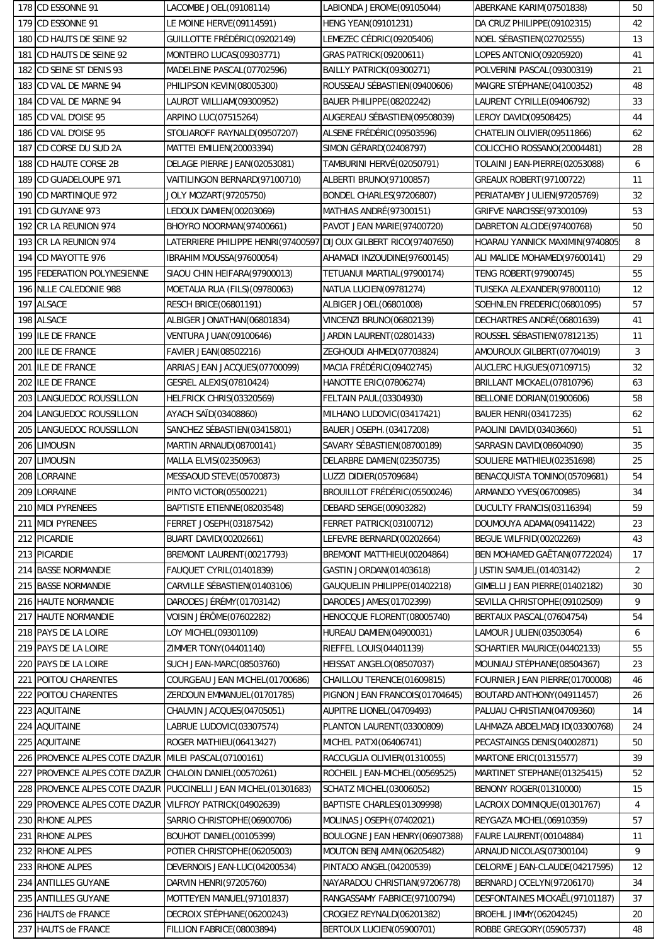|            | 178 CD ESSONNE 91                                 | LACOMBE JOEL(09108114)                                           | LABIONDA JEROME (09105044)      | ABERKANE KARIM(07501838)        | 50       |
|------------|---------------------------------------------------|------------------------------------------------------------------|---------------------------------|---------------------------------|----------|
| 179        | <b>CD ESSONNE 91</b>                              | LE MOINE HERVE(09114591)                                         | <b>HENG YEAN(09101231)</b>      | DA CRUZ PHILIPPE(09102315)      | 42       |
| 180        | CD HAUTS DE SEINE 92                              | GUILLOTTE FRÉDÉRIC(09202149)                                     | LEMEZEC CÉDRIC(09205406)        | NOEL SÉBASTIEN(02702555)        | 13       |
| 181        | CD HAUTS DE SEINE 92                              | MONTEIRO LUCAS(09303771)                                         | GRAS PATRICK(09200611)          | LOPES ANTONIO(09205920)         | 41       |
| 182        | CD SEINE ST DENIS 93                              | MADELEINE PASCAL(07702596)                                       | BAILLY PATRICK(09300271)        | POLVERINI PASCAL(09300319)      | 21       |
| 183        | CD VAL DE MARNE 94                                | PHILIPSON KEVIN(08005300)                                        | ROUSSEAU SÉBASTIEN (09400606)   | MAIGRE STÉPHANE (04100352)      | 48       |
| 184        | CD VAL DE MARNE 94                                | LAUROT WILLIAM(09300952)                                         | BAUER PHILIPPE(08202242)        | LAURENT CYRILLE(09406792)       | 33       |
| 185        | CD VAL D'OISE 95                                  | ARPINO LUC(07515264)                                             | AUGEREAU SÉBASTIEN (09508039)   | LEROY DAVID(09508425)           | 44       |
| 186        | CD VAL D'OISE 95                                  | STOLIAROFF RAYNALD(09507207)                                     | ALSENE FRÉDÉRIC(09503596)       | CHATELIN OLIVIER(09511866)      | 62       |
| 187        | CD CORSE DU SUD 2A                                | MATTEI EMILIEN(20003394)                                         | SIMON GÉRARD (02408797)         | COLICCHIO ROSSANO(20004481)     | 28       |
| 188        | <b>CD HAUTE CORSE 2B</b>                          | DELAGE PIERRE JEAN(02053081)                                     | TAMBURINI HERVÉ (02050791)      | TOLAINI JEAN-PIERRE(02053088)   | 6        |
| 189        | CD GUADELOUPE 971                                 | VAITILINGON BERNARD(97100710)                                    | ALBERTI BRUNO(97100857)         | <b>GREAUX ROBERT (97100722)</b> | 11       |
| 190        | CD MARTINIQUE 972                                 | JOLY MOZART(97205750)                                            | BONDEL CHARLES(97206807)        | PERIATAMBY JULIEN (97205769)    | 32       |
| 191        | CD GUYANE 973                                     | LEDOUX DAMIEN(00203069)                                          | MATHIAS ANDRÉ(97300151)         | GRIFVE NARCISSE(97300109)       | 53       |
| 192        | CR LA REUNION 974                                 | BHOYRO NOORMAN(97400661)                                         | PAVOT JEAN MARIE(97400720)      | DABRETON ALCIDE(97400768)       | 50       |
| 193        | <b>CR LA REUNION 974</b>                          | LATERRIERE PHILIPPE HENRI(97400597)DIJOUX GILBERT RICO(97407650) |                                 | HOARAU YANNICK MAXIMIN(9740805  | 8        |
| 194        | CD MAYOTTE 976                                    | IBRAHIM MOUSSA(97600054)                                         | AHAMADI INZOUDINE(97600145)     | ALI MALIDE MOHAMED(97600141)    | 29       |
| 195        | <b>FEDERATION POLYNESIENNE</b>                    | SIAOU CHIN HEIFARA(97900013)                                     | TETUANUI MARTIAL(97900174)      | TENG ROBERT(97900745)           | 55       |
| 196        | <b>NLLE CALEDONIE 988</b>                         | MOETAUA RUA (FILS) (09780063)                                    | NATUA LUCIEN(09781274)          | TUISEKA ALEXANDER(97800110)     | 12       |
| 197        | <b>ALSACE</b>                                     | <b>RESCH BRICE(06801191)</b>                                     | ALBIGER JOEL(06801008)          | SOEHNLEN FREDERIC(06801095)     | 57       |
| 198        | <b>ALSACE</b>                                     | ALBIGER JONATHAN(06801834)                                       | VINCENZI BRUNO(06802139)        | DECHARTRES ANDRÉ(06801639)      | 41       |
| 199        | <b>ILE DE FRANCE</b>                              | VENTURA JUAN(09100646)                                           | JARDIN LAURENT (02801433)       | ROUSSEL SÉBASTIEN (07812135)    | 11       |
| 200        | <b>ILE DE FRANCE</b>                              | FAVIER JEAN(08502216)                                            | ZEGHOUDI AHMED(07703824)        | AMOUROUX GILBERT (07704019)     | 3        |
| 201        | <b>ILE DE FRANCE</b>                              | ARRIAS JEAN JACQUES(07700099)                                    | MACIA FRÉDÉRIC (09402745)       | AUCLERC HUGUES(07109715)        | 32       |
| 202        | <b>ILE DE FRANCE</b>                              | GESREL ALEXIS(07810424)                                          | <b>HANOTTE ERIC(07806274)</b>   | BRILLANT MICKAEL(07810796)      | 63       |
| 203        | LANGUEDOC ROUSSILLON                              | HELFRICK CHRIS(03320569)                                         | <b>FELTAIN PAUL(03304930)</b>   | BELLONIE DORIAN(01900606)       | 58       |
| 204        | LANGUEDOC ROUSSILLON                              | <b>AYACH SAÏD(03408860)</b>                                      | MILHANO LUDOVIC(03417421)       | <b>BAUER HENRI(03417235)</b>    | 62       |
| 205        | LANGUEDOC ROUSSILLON                              | SANCHEZ SÉBASTIEN (03415801)                                     | BAUER JOSEPH. (03417208)        | PAOLINI DAVID(03403660)         | 51       |
| 206        | <b>LIMOUSIN</b>                                   | MARTIN ARNAUD(08700141)                                          | SAVARY SÉBASTIEN (08700189)     | SARRASIN DAVID(08604090)        | 35       |
| 207        | <b>LIMOUSIN</b>                                   | MALLA ELVIS(02350963)                                            | DELARBRE DAMIEN(02350735)       | SOULIERE MATHIEU(02351698)      | 25       |
| 208        | LORRAINE                                          | MESSAOUD STEVE(05700873)                                         | LUZZI DIDIER(05709684)          | BENACQUISTA TONINO(05709681)    | 54       |
| 209        | LORRAINE                                          | PINTO VICTOR(05500221)                                           | BROUILLOT FRÉDÉRIC(05500246)    | ARMANDO YVES(06700985)          | 34       |
|            | 210 MIDI PYRENEES                                 | BAPTISTE ETIENNE(08203548)                                       | DEBARD SERGE(00903282)          | DUCULTY FRANCIS(03116394)       | 59       |
| 211        | <b>MIDI PYRENEES</b>                              | <b>FERRET JOSEPH(03187542)</b>                                   | FERRET PATRICK(03100712)        | DOUMOUYA ADAMA(09411422)        | 23       |
|            | <b>PICARDIE</b>                                   | BUART DAVID(00202661)                                            | LEFEVRE BERNARD(00202664)       | BEGUE WILFRID(00202269)         |          |
| 212<br>213 | <b>PICARDIE</b>                                   | BREMONT LAURENT(00217793)                                        | BREMONT MATTHIEU(00204864)      | BEN MOHAMED GAËTAN(07722024)    | 43<br>17 |
| 214        | <b>BASSE NORMANDIE</b>                            | FAUQUET CYRIL(01401839)                                          | GASTIN JORDAN(01403618)         | JUSTIN SAMUEL(01403142)         | 2        |
|            | <b>BASSE NORMANDIE</b>                            | CARVILLE SÉBASTIEN(01403106)                                     | GAUQUELIN PHILIPPE(01402218)    | GIMELLI JEAN PIERRE(01402182)   |          |
| 215        |                                                   |                                                                  |                                 |                                 | 30       |
| 216        | <b>HAUTE NORMANDIE</b>                            | DARODES JÉRÉMY (01703142)                                        | DARODES JAMES(01702399)         | SEVILLA CHRISTOPHE(09102509)    | 9        |
| 217        | <b>HAUTE NORMANDIE</b>                            | VOISIN JÉRÔME (07602282)                                         | HENOCQUE FLORENT(08005740)      | BERTAUX PASCAL(07604754)        | 54       |
| 218        | PAYS DE LA LOIRE                                  | LOY MICHEL(09301109)                                             | HUREAU DAMIEN(04900031)         | LAMOUR JULIEN(03503054)         | 6        |
| 219        | PAYS DE LA LOIRE                                  | ZIMMER TONY(04401140)                                            | RIEFFEL LOUIS(04401139)         | SCHARTIER MAURICE(04402133)     | 55       |
| 220        | PAYS DE LA LOIRE                                  | <b>SUCH JEAN-MARC(08503760)</b>                                  | HEISSAT ANGELO(08507037)        | MOUNIAU STÉPHANE (08504367)     | 23       |
| 221        | POITOU CHARENTES                                  | COURGEAU JEAN MICHEL(01700686)                                   | CHAILLOU TERENCE(01609815)      | FOURNIER JEAN PIERRE(01700008)  | 46       |
| 222        | POITOU CHARENTES                                  | ZERDOUN EMMANUEL(01701785)                                       | PIGNON JEAN FRANCOIS(01704645)  | BOUTARD ANTHONY (04911457)      | 26       |
| 223        | <b>AQUITAINE</b>                                  | CHAUVIN JACQUES(04705051)                                        | AUPITRE LIONEL(04709493)        | PALUAU CHRISTIAN (04709360)     | 14       |
| 224        | <b>AQUITAINE</b>                                  | LABRUE LUDOVIC(03307574)                                         | PLANTON LAURENT (03300809)      | LAHMAZA ABDELMADJID(03300768)   | 24       |
| 225        | <b>AQUITAINE</b>                                  | <b>ROGER MATHIEU(06413427)</b>                                   | MICHEL PATXI(06406741)          | PECASTAINGS DENIS(04002871)     | 50       |
| 226        | PROVENCE ALPES COTE D'AZUR MILEI PASCAL(07100161) |                                                                  | RACCUGLIA OLIVIER(01310055)     | <b>MARTONE ERIC(01315577)</b>   | 39       |
| 227        | PROVENCE ALPES COTE D'AZUR                        | CHALOIN DANIEL (00570261)                                        | ROCHEIL JEAN-MICHEL(00569525)   | MARTINET STEPHANE(01325415)     | 52       |
| 228        | PROVENCE ALPES COTE D'AZUR                        | PUCCINELLI JEAN MICHEL (01301683)                                | <b>SCHATZ MICHEL (03006052)</b> | BENONY ROGER(01310000)          | 15       |
| 229        | PROVENCE ALPES COTE D'AZUR                        | VILFROY PATRICK(04902639)                                        | BAPTISTE CHARLES(01309998)      | LACROIX DOMINIQUE(01301767)     | 4        |
| 230        | <b>RHONE ALPES</b>                                | SARRIO CHRISTOPHE (06900706)                                     | MOLINAS JOSEPH (07402021)       | REYGAZA MICHEL(06910359)        | 57       |
| 231        | <b>RHONE ALPES</b>                                | BOUHOT DANIEL (00105399)                                         | BOULOGNE JEAN HENRY(06907388)   | FAURE LAURENT (00104884)        | 11       |
| 232        | <b>RHONE ALPES</b>                                | POTIER CHRISTOPHE (06205003)                                     | MOUTON BENJAMIN(06205482)       | ARNAUD NICOLAS(07300104)        | 9        |
| 233        | <b>RHONE ALPES</b>                                | DEVERNOIS JEAN-LUC(04200534)                                     | PINTADO ANGEL (04200539)        | DELORME JEAN-CLAUDE(04217595)   | 12       |
| 234        | <b>ANTILLES GUYANE</b>                            | DARVIN HENRI(97205760)                                           | NAYARADOU CHRISTIAN(97206778)   | BERNARD JOCELYN (97206170)      | 34       |
| 235        | <b>ANTILLES GUYANE</b>                            | MOTTEYEN MANUEL(97101837)                                        | RANGASSAMY FABRICE(97100794)    | DESFONTAINES MICKAËL(97101187)  | 37       |
| 236        | <b>HAUTS de FRANCE</b>                            | DECROIX STÉPHANE(06200243)                                       | CROGIEZ REYNALD(06201382)       | BROEHL JIMMY(06204245)          | 20       |
| 237        | <b>HAUTS de FRANCE</b>                            | FILLION FABRICE(08003894)                                        | BERTOUX LUCIEN(05900701)        | ROBBE GREGORY(05905737)         | 48       |